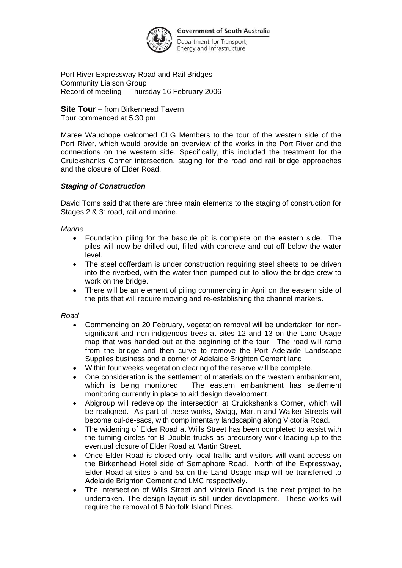

Department for Transport, Energy and Infrastructure

Port River Expressway Road and Rail Bridges Community Liaison Group Record of meeting – Thursday 16 February 2006

**Site Tour** – from Birkenhead Tavern Tour commenced at 5.30 pm

Maree Wauchope welcomed CLG Members to the tour of the western side of the Port River, which would provide an overview of the works in the Port River and the connections on the western side. Specifically, this included the treatment for the Cruickshanks Corner intersection, staging for the road and rail bridge approaches and the closure of Elder Road.

## *Staging of Construction*

David Toms said that there are three main elements to the staging of construction for Stages 2 & 3: road, rail and marine.

*Marine*

- Foundation piling for the bascule pit is complete on the eastern side. The piles will now be drilled out, filled with concrete and cut off below the water level.
- The steel cofferdam is under construction requiring steel sheets to be driven into the riverbed, with the water then pumped out to allow the bridge crew to work on the bridge.
- There will be an element of piling commencing in April on the eastern side of the pits that will require moving and re-establishing the channel markers.

*Road*

- Commencing on 20 February, vegetation removal will be undertaken for nonsignificant and non-indigenous trees at sites 12 and 13 on the Land Usage map that was handed out at the beginning of the tour. The road will ramp from the bridge and then curve to remove the Port Adelaide Landscape Supplies business and a corner of Adelaide Brighton Cement land.
- Within four weeks vegetation clearing of the reserve will be complete.
- One consideration is the settlement of materials on the western embankment, which is being monitored. The eastern embankment has settlement monitoring currently in place to aid design development.
- Abigroup will redevelop the intersection at Cruickshank's Corner, which will be realigned. As part of these works, Swigg, Martin and Walker Streets will become cul-de-sacs, with complimentary landscaping along Victoria Road.
- The widening of Elder Road at Wills Street has been completed to assist with the turning circles for B-Double trucks as precursory work leading up to the eventual closure of Elder Road at Martin Street.
- Once Elder Road is closed only local traffic and visitors will want access on the Birkenhead Hotel side of Semaphore Road. North of the Expressway, Elder Road at sites 5 and 5a on the Land Usage map will be transferred to Adelaide Brighton Cement and LMC respectively.
- The intersection of Wills Street and Victoria Road is the next project to be undertaken. The design layout is still under development. These works will require the removal of 6 Norfolk Island Pines.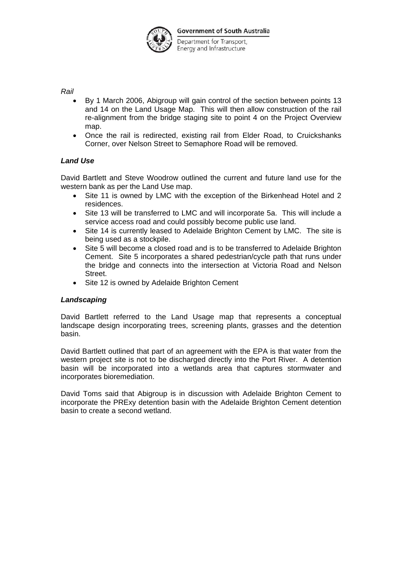

Department for Transport, Energy and Infrastructure

## *Rail*

- By 1 March 2006, Abigroup will gain control of the section between points 13 and 14 on the Land Usage Map. This will then allow construction of the rail re-alignment from the bridge staging site to point 4 on the Project Overview map.
- Once the rail is redirected, existing rail from Elder Road, to Cruickshanks Corner, over Nelson Street to Semaphore Road will be removed.

# *Land Use*

David Bartlett and Steve Woodrow outlined the current and future land use for the western bank as per the Land Use map.

- Site 11 is owned by LMC with the exception of the Birkenhead Hotel and 2 residences.
- Site 13 will be transferred to LMC and will incorporate 5a. This will include a service access road and could possibly become public use land.
- Site 14 is currently leased to Adelaide Brighton Cement by LMC. The site is being used as a stockpile.
- Site 5 will become a closed road and is to be transferred to Adelaide Brighton Cement. Site 5 incorporates a shared pedestrian/cycle path that runs under the bridge and connects into the intersection at Victoria Road and Nelson Street.
- Site 12 is owned by Adelaide Brighton Cement

## *Landscaping*

David Bartlett referred to the Land Usage map that represents a conceptual landscape design incorporating trees, screening plants, grasses and the detention basin.

David Bartlett outlined that part of an agreement with the EPA is that water from the western project site is not to be discharged directly into the Port River. A detention basin will be incorporated into a wetlands area that captures stormwater and incorporates bioremediation.

David Toms said that Abigroup is in discussion with Adelaide Brighton Cement to incorporate the PRExy detention basin with the Adelaide Brighton Cement detention basin to create a second wetland.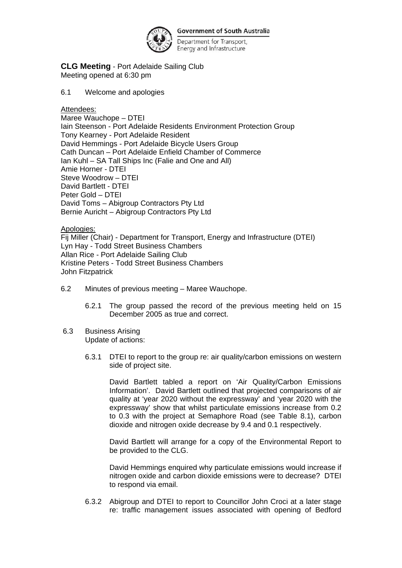

Department for Transport, Energy and Infrastructure

**CLG Meeting** - Port Adelaide Sailing Club Meeting opened at 6:30 pm

6.1 Welcome and apologies

Attendees:

Maree Wauchope – DTEI Iain Steenson - Port Adelaide Residents Environment Protection Group Tony Kearney - Port Adelaide Resident David Hemmings - Port Adelaide Bicycle Users Group Cath Duncan – Port Adelaide Enfield Chamber of Commerce Ian Kuhl – SA Tall Ships Inc (Falie and One and All) Amie Horner - DTEI Steve Woodrow – DTEI David Bartlett - DTEI Peter Gold – DTEI David Toms – Abigroup Contractors Pty Ltd Bernie Auricht – Abigroup Contractors Pty Ltd

Apologies: Fij Miller (Chair) - Department for Transport, Energy and Infrastructure (DTEI) Lyn Hay - Todd Street Business Chambers Allan Rice - Port Adelaide Sailing Club Kristine Peters - Todd Street Business Chambers John Fitzpatrick

- 6.2 Minutes of previous meeting Maree Wauchope.
	- 6.2.1 The group passed the record of the previous meeting held on 15 December 2005 as true and correct.
- 6.3 Business Arising

Update of actions:

6.3.1 DTEI to report to the group re: air quality/carbon emissions on western side of project site.

David Bartlett tabled a report on 'Air Quality/Carbon Emissions Information'. David Bartlett outlined that projected comparisons of air quality at 'year 2020 without the expressway' and 'year 2020 with the expressway' show that whilst particulate emissions increase from 0.2 to 0.3 with the project at Semaphore Road (see Table 8.1), carbon dioxide and nitrogen oxide decrease by 9.4 and 0.1 respectively.

 David Bartlett will arrange for a copy of the Environmental Report to be provided to the CLG.

 David Hemmings enquired why particulate emissions would increase if nitrogen oxide and carbon dioxide emissions were to decrease? DTEI to respond via email.

6.3.2 Abigroup and DTEI to report to Councillor John Croci at a later stage re: traffic management issues associated with opening of Bedford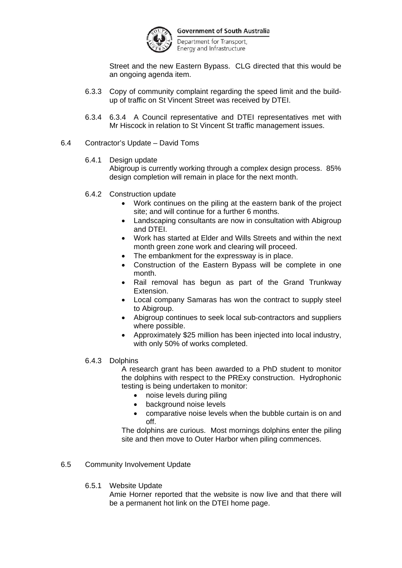

Department for Transport, Energy and Infrastructure

Street and the new Eastern Bypass. CLG directed that this would be an ongoing agenda item.

- 6.3.3 Copy of community complaint regarding the speed limit and the buildup of traffic on St Vincent Street was received by DTEI.
- 6.3.4 6.3.4 A Council representative and DTEI representatives met with Mr Hiscock in relation to St Vincent St traffic management issues.
- 6.4 Contractor's Update David Toms
	- 6.4.1 Design update

 Abigroup is currently working through a complex design process. 85% design completion will remain in place for the next month.

- 6.4.2 Construction update
	- Work continues on the piling at the eastern bank of the project site; and will continue for a further 6 months.
	- Landscaping consultants are now in consultation with Abigroup and DTEI.
	- Work has started at Elder and Wills Streets and within the next month green zone work and clearing will proceed.
	- The embankment for the expressway is in place.
	- Construction of the Eastern Bypass will be complete in one month.
	- Rail removal has begun as part of the Grand Trunkway Extension.
	- Local company Samaras has won the contract to supply steel to Abigroup.
	- Abigroup continues to seek local sub-contractors and suppliers where possible.
	- Approximately \$25 million has been injected into local industry, with only 50% of works completed.
- 6.4.3 Dolphins

A research grant has been awarded to a PhD student to monitor the dolphins with respect to the PRExy construction. Hydrophonic testing is being undertaken to monitor:

- noise levels during piling
- background noise levels
- comparative noise levels when the bubble curtain is on and off.

The dolphins are curious. Most mornings dolphins enter the piling site and then move to Outer Harbor when piling commences.

### 6.5 Community Involvement Update

#### 6.5.1 Website Update

Amie Horner reported that the website is now live and that there will be a permanent hot link on the DTEI home page.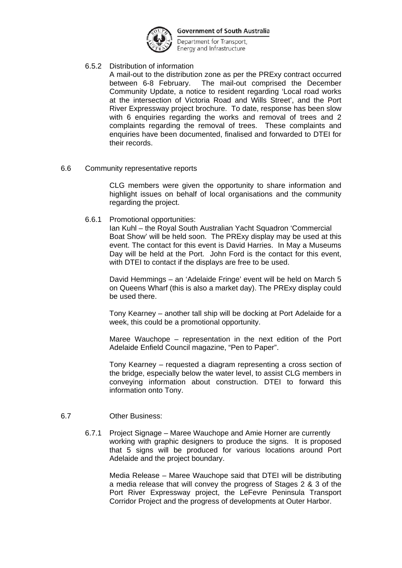

Department for Transport, Energy and Infrastructure

6.5.2 Distribution of information

A mail-out to the distribution zone as per the PRExy contract occurred between 6-8 February. The mail-out comprised the December Community Update, a notice to resident regarding 'Local road works at the intersection of Victoria Road and Wills Street', and the Port River Expressway project brochure. To date, response has been slow with 6 enquiries regarding the works and removal of trees and 2 complaints regarding the removal of trees. These complaints and enquiries have been documented, finalised and forwarded to DTEI for their records.

6.6 Community representative reports

CLG members were given the opportunity to share information and highlight issues on behalf of local organisations and the community regarding the project.

6.6.1 Promotional opportunities:

 Ian Kuhl – the Royal South Australian Yacht Squadron 'Commercial Boat Show' will be held soon. The PRExy display may be used at this event. The contact for this event is David Harries. In May a Museums Day will be held at the Port. John Ford is the contact for this event, with DTEI to contact if the displays are free to be used.

David Hemmings – an 'Adelaide Fringe' event will be held on March 5 on Queens Wharf (this is also a market day). The PRExy display could be used there.

Tony Kearney – another tall ship will be docking at Port Adelaide for a week, this could be a promotional opportunity.

Maree Wauchope – representation in the next edition of the Port Adelaide Enfield Council magazine, "Pen to Paper".

Tony Kearney – requested a diagram representing a cross section of the bridge, especially below the water level, to assist CLG members in conveying information about construction. DTEI to forward this information onto Tony.

### 6.7 Other Business:

 6.7.1 Project Signage – Maree Wauchope and Amie Horner are currently working with graphic designers to produce the signs. It is proposed that 5 signs will be produced for various locations around Port Adelaide and the project boundary.

Media Release – Maree Wauchope said that DTEI will be distributing a media release that will convey the progress of Stages 2 & 3 of the Port River Expressway project, the LeFevre Peninsula Transport Corridor Project and the progress of developments at Outer Harbor.